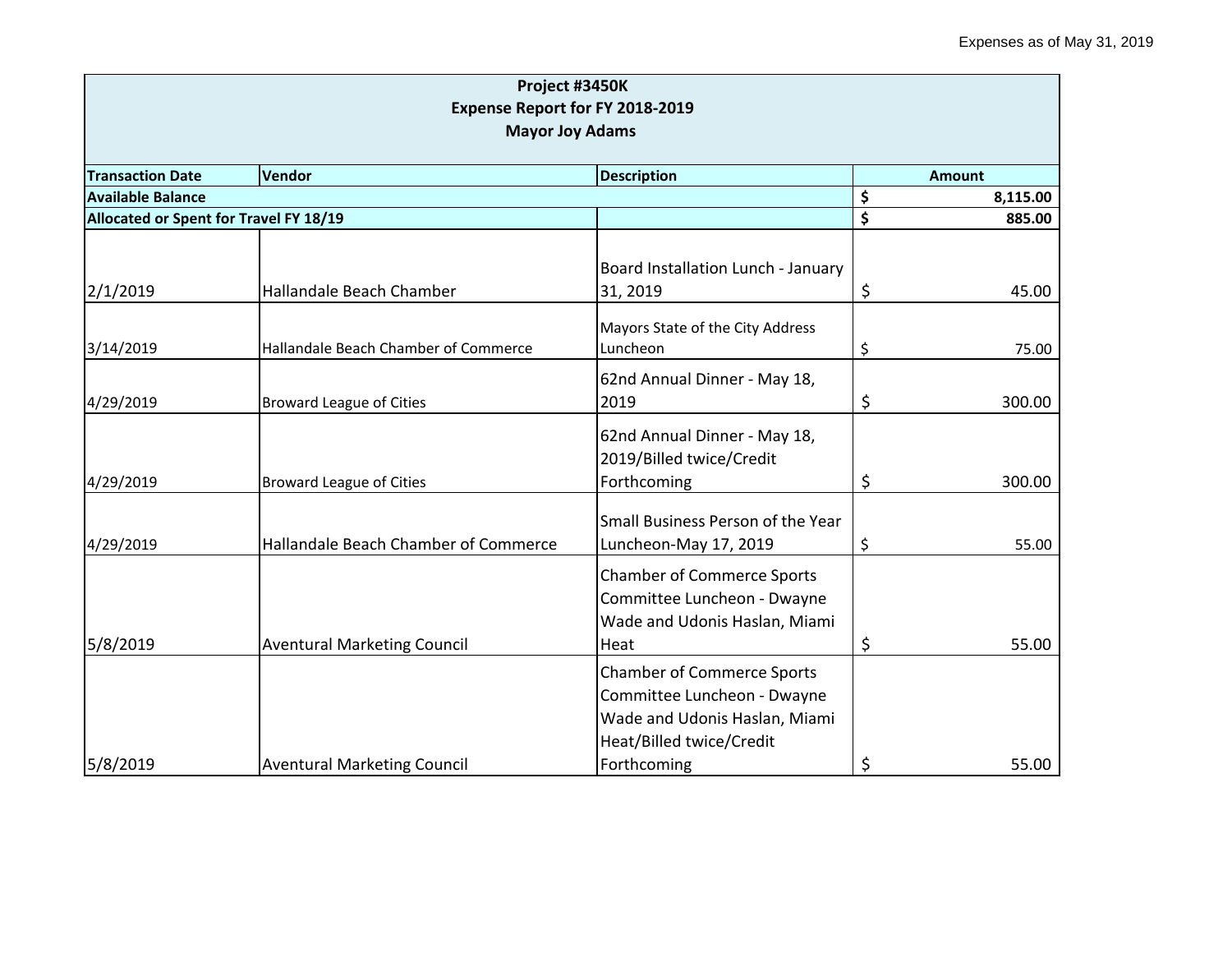|                                        | Project #3450K                                                 |                                                                                                                                              |    |                                 |  |
|----------------------------------------|----------------------------------------------------------------|----------------------------------------------------------------------------------------------------------------------------------------------|----|---------------------------------|--|
|                                        | Expense Report for FY 2018-2019                                |                                                                                                                                              |    |                                 |  |
| <b>Mayor Joy Adams</b>                 |                                                                |                                                                                                                                              |    |                                 |  |
|                                        |                                                                |                                                                                                                                              |    |                                 |  |
| <b>Available Balance</b>               | <b>Transaction Date</b><br><b>Vendor</b><br><b>Description</b> |                                                                                                                                              |    | <b>Amount</b><br>\$<br>8,115.00 |  |
| Allocated or Spent for Travel FY 18/19 |                                                                |                                                                                                                                              | \$ | 885.00                          |  |
|                                        |                                                                |                                                                                                                                              |    |                                 |  |
| 2/1/2019                               | Hallandale Beach Chamber                                       | Board Installation Lunch - January<br>31, 2019                                                                                               | \$ | 45.00                           |  |
| 3/14/2019                              | Hallandale Beach Chamber of Commerce                           | Mayors State of the City Address<br>Luncheon                                                                                                 | \$ | 75.00                           |  |
| 4/29/2019                              | <b>Broward League of Cities</b>                                | 62nd Annual Dinner - May 18,<br>2019                                                                                                         | \$ | 300.00                          |  |
| 4/29/2019                              | <b>Broward League of Cities</b>                                | 62nd Annual Dinner - May 18,<br>2019/Billed twice/Credit<br>Forthcoming                                                                      | \$ | 300.00                          |  |
| 4/29/2019                              | Hallandale Beach Chamber of Commerce                           | Small Business Person of the Year<br>Luncheon-May 17, 2019                                                                                   | \$ | 55.00                           |  |
| 5/8/2019                               | <b>Aventural Marketing Council</b>                             | <b>Chamber of Commerce Sports</b><br>Committee Luncheon - Dwayne<br>Wade and Udonis Haslan, Miami<br>Heat                                    | \$ | 55.00                           |  |
| 5/8/2019                               | <b>Aventural Marketing Council</b>                             | <b>Chamber of Commerce Sports</b><br>Committee Luncheon - Dwayne<br>Wade and Udonis Haslan, Miami<br>Heat/Billed twice/Credit<br>Forthcoming | \$ | 55.00                           |  |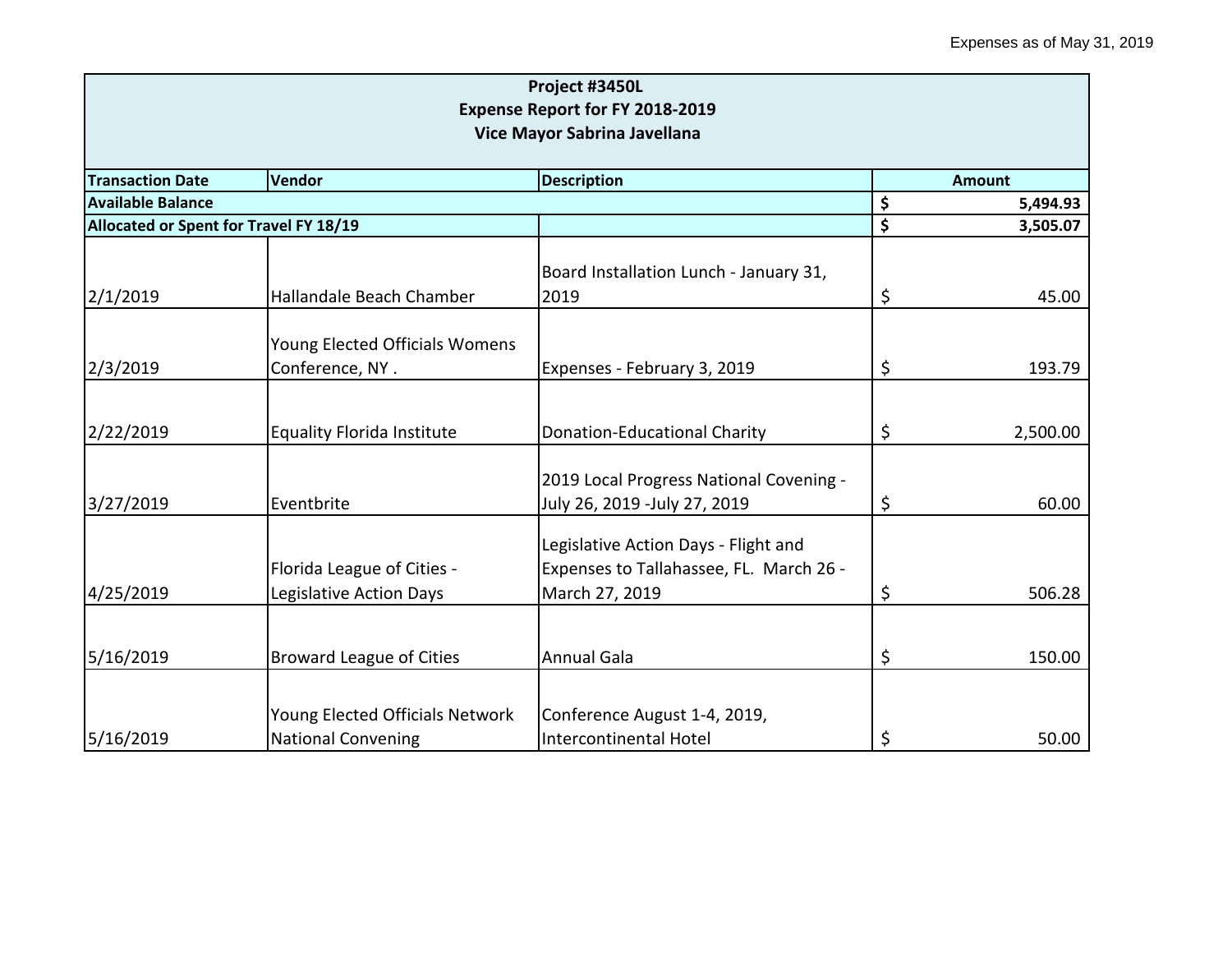| Project #3450L<br>Expense Report for FY 2018-2019<br>Vice Mayor Sabrina Javellana |                                                              |                                                                                                   |    |               |
|-----------------------------------------------------------------------------------|--------------------------------------------------------------|---------------------------------------------------------------------------------------------------|----|---------------|
| <b>Transaction Date</b>                                                           | Vendor                                                       | <b>Description</b>                                                                                |    | <b>Amount</b> |
| <b>Available Balance</b>                                                          |                                                              |                                                                                                   |    | 5,494.93      |
| Allocated or Spent for Travel FY 18/19                                            |                                                              |                                                                                                   | \$ | 3,505.07      |
| 2/1/2019                                                                          | Hallandale Beach Chamber                                     | Board Installation Lunch - January 31,<br>2019                                                    | \$ | 45.00         |
| 2/3/2019                                                                          | Young Elected Officials Womens<br>Conference, NY.            | Expenses - February 3, 2019                                                                       | \$ | 193.79        |
| 2/22/2019                                                                         | <b>Equality Florida Institute</b>                            | <b>Donation-Educational Charity</b>                                                               | \$ | 2,500.00      |
| 3/27/2019                                                                         | Eventbrite                                                   | 2019 Local Progress National Covening -<br>July 26, 2019 -July 27, 2019                           | \$ | 60.00         |
| 4/25/2019                                                                         | Florida League of Cities -<br>Legislative Action Days        | Legislative Action Days - Flight and<br>Expenses to Tallahassee, FL. March 26 -<br>March 27, 2019 | \$ | 506.28        |
| 5/16/2019                                                                         | <b>Broward League of Cities</b>                              | <b>Annual Gala</b>                                                                                | \$ | 150.00        |
| 5/16/2019                                                                         | Young Elected Officials Network<br><b>National Convening</b> | Conference August 1-4, 2019,<br>Intercontinental Hotel                                            | \$ | 50.00         |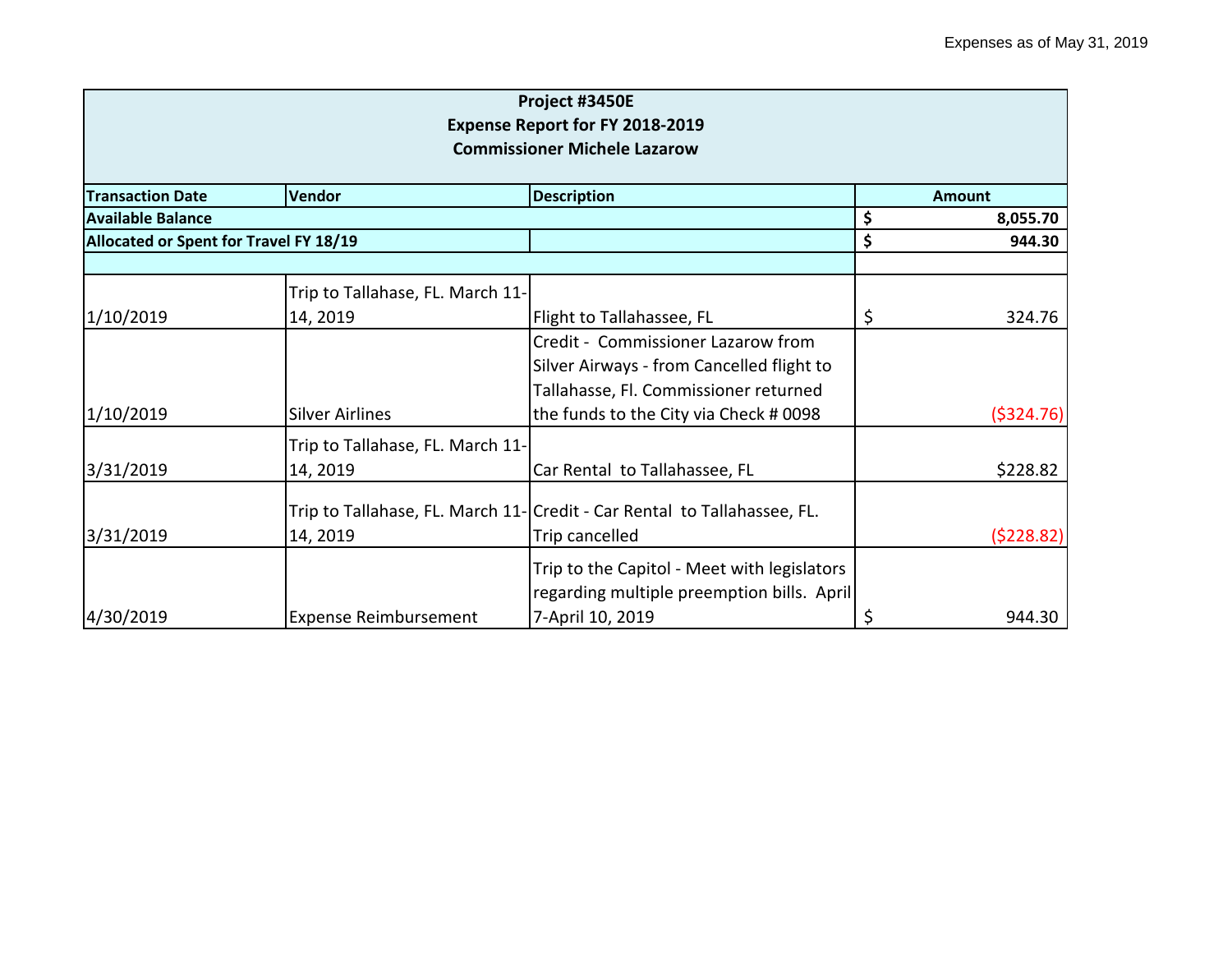|                                        |                                        | Project #3450E                                                           |          |               |  |
|----------------------------------------|----------------------------------------|--------------------------------------------------------------------------|----------|---------------|--|
| <b>Expense Report for FY 2018-2019</b> |                                        |                                                                          |          |               |  |
|                                        |                                        | <b>Commissioner Michele Lazarow</b>                                      |          |               |  |
| <b>Transaction Date</b>                | Vendor                                 | <b>Description</b>                                                       |          | <b>Amount</b> |  |
| <b>Available Balance</b>               |                                        | \$                                                                       | 8,055.70 |               |  |
|                                        | Allocated or Spent for Travel FY 18/19 |                                                                          | \$       | 944.30        |  |
|                                        |                                        |                                                                          |          |               |  |
|                                        | Trip to Tallahase, FL. March 11-       |                                                                          |          |               |  |
| 1/10/2019                              | 14, 2019                               | Flight to Tallahassee, FL                                                | Ş        | 324.76        |  |
|                                        |                                        | Credit - Commissioner Lazarow from                                       |          |               |  |
|                                        |                                        | Silver Airways - from Cancelled flight to                                |          |               |  |
|                                        |                                        | Tallahasse, Fl. Commissioner returned                                    |          |               |  |
| 1/10/2019                              | <b>Silver Airlines</b>                 | the funds to the City via Check # 0098                                   |          | ( \$324.76)   |  |
|                                        | Trip to Tallahase, FL. March 11-       |                                                                          |          |               |  |
| 3/31/2019                              | 14, 2019                               | Car Rental to Tallahassee, FL                                            |          | \$228.82      |  |
|                                        |                                        | Trip to Tallahase, FL. March 11- Credit - Car Rental to Tallahassee, FL. |          |               |  |
| 3/31/2019                              | 14, 2019                               | Trip cancelled                                                           |          | (5228.82)     |  |
|                                        |                                        | Trip to the Capitol - Meet with legislators                              |          |               |  |
|                                        |                                        | regarding multiple preemption bills. April                               |          |               |  |
| 4/30/2019                              | <b>Expense Reimbursement</b>           | 7-April 10, 2019                                                         |          | 944.30        |  |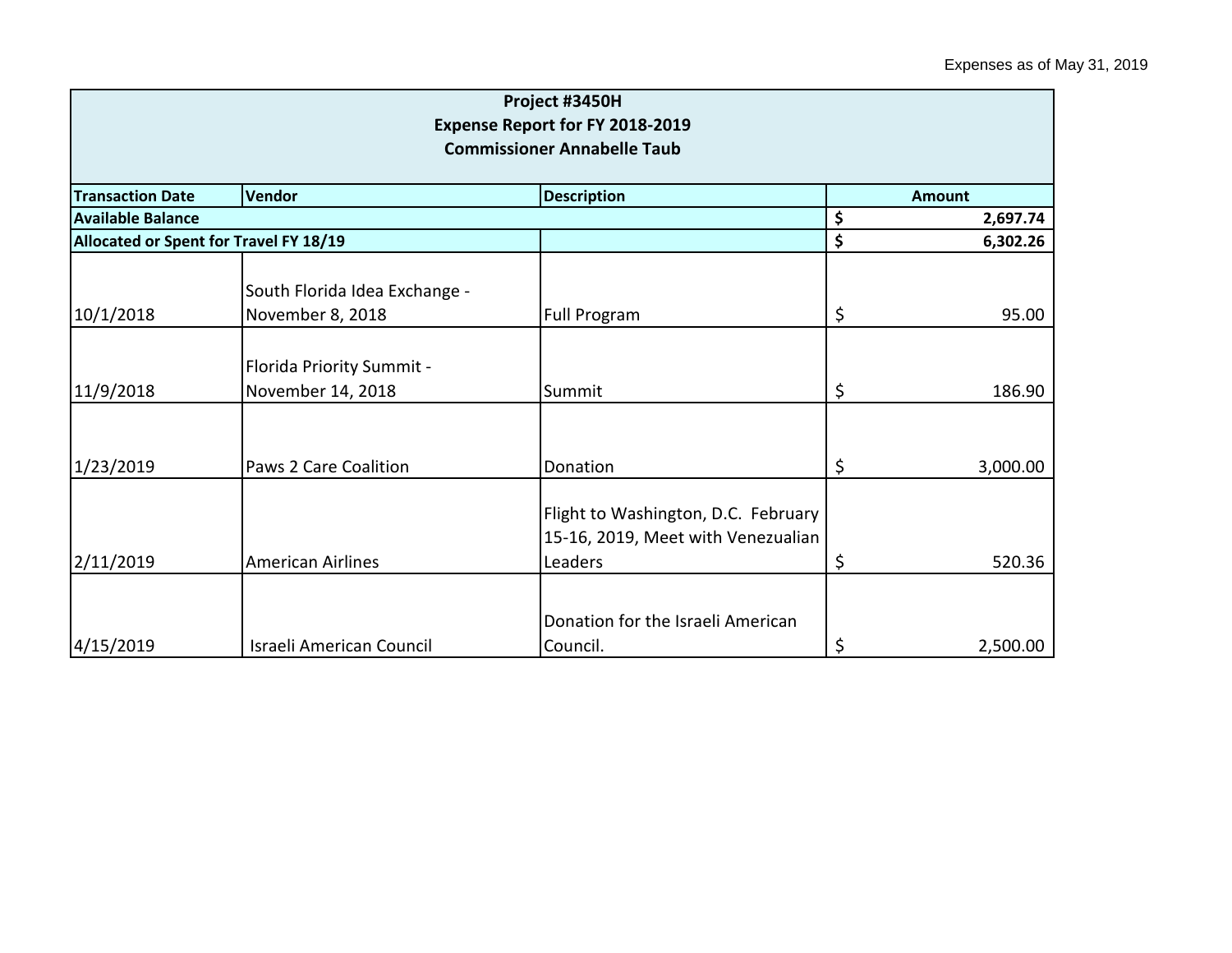| Project #3450H<br><b>Expense Report for FY 2018-2019</b><br><b>Commissioner Annabelle Taub</b> |                                                   |                                                                                      |                |               |
|------------------------------------------------------------------------------------------------|---------------------------------------------------|--------------------------------------------------------------------------------------|----------------|---------------|
| <b>Transaction Date</b>                                                                        | Vendor                                            | <b>Description</b>                                                                   |                | <b>Amount</b> |
| <b>Available Balance</b>                                                                       |                                                   |                                                                                      | \$<br>2,697.74 |               |
| Allocated or Spent for Travel FY 18/19                                                         |                                                   |                                                                                      | \$             | 6,302.26      |
| 10/1/2018                                                                                      | South Florida Idea Exchange -<br>November 8, 2018 | Full Program                                                                         | \$             | 95.00         |
| 11/9/2018                                                                                      | Florida Priority Summit -<br>November 14, 2018    | Summit                                                                               | \$             | 186.90        |
| 1/23/2019                                                                                      | <b>Paws 2 Care Coalition</b>                      | Donation                                                                             | \$             | 3,000.00      |
| 2/11/2019                                                                                      | <b>American Airlines</b>                          | Flight to Washington, D.C. February<br>15-16, 2019, Meet with Venezualian<br>Leaders | \$             | 520.36        |
| 4/15/2019                                                                                      | <b>Israeli American Council</b>                   | Donation for the Israeli American<br>Council.                                        | \$             | 2,500.00      |